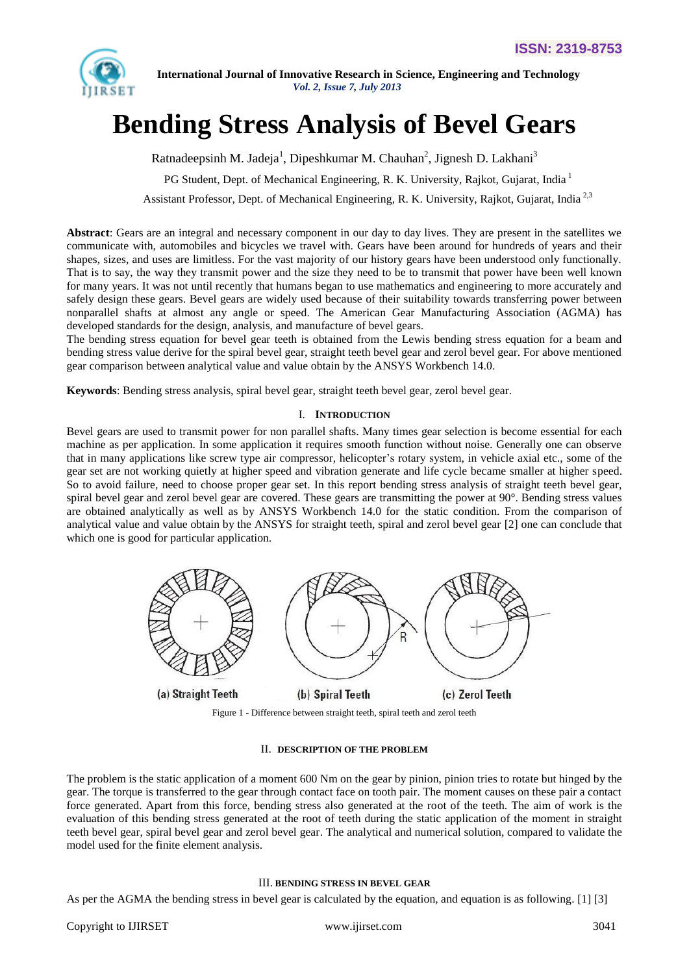

# **Bending Stress Analysis of Bevel Gears**

Ratnadeepsinh M. Jadeja<sup>1</sup>, Dipeshkumar M. Chauhan<sup>2</sup>, Jignesh D. Lakhani<sup>3</sup>

PG Student, Dept. of Mechanical Engineering, R. K. University, Rajkot, Gujarat, India<sup>1</sup>

Assistant Professor, Dept. of Mechanical Engineering, R. K. University, Rajkot, Gujarat, India<sup>2,3</sup>

**Abstract**: Gears are an integral and necessary component in our day to day lives. They are present in the satellites we communicate with, automobiles and bicycles we travel with. Gears have been around for hundreds of years and their shapes, sizes, and uses are limitless. For the vast majority of our history gears have been understood only functionally. That is to say, the way they transmit power and the size they need to be to transmit that power have been well known for many years. It was not until recently that humans began to use mathematics and engineering to more accurately and safely design these gears. Bevel gears are widely used because of their suitability towards transferring power between nonparallel shafts at almost any angle or speed. The American Gear Manufacturing Association (AGMA) has developed standards for the design, analysis, and manufacture of bevel gears.

The bending stress equation for bevel gear teeth is obtained from the Lewis bending stress equation for a beam and bending stress value derive for the spiral bevel gear, straight teeth bevel gear and zerol bevel gear. For above mentioned gear comparison between analytical value and value obtain by the ANSYS Workbench 14.0.

**Keywords**: Bending stress analysis, spiral bevel gear, straight teeth bevel gear, zerol bevel gear.

## I. **INTRODUCTION**

Bevel gears are used to transmit power for non parallel shafts. Many times gear selection is become essential for each machine as per application. In some application it requires smooth function without noise. Generally one can observe that in many applications like screw type air compressor, helicopter's rotary system, in vehicle axial etc., some of the gear set are not working quietly at higher speed and vibration generate and life cycle became smaller at higher speed. So to avoid failure, need to choose proper gear set. In this report bending stress analysis of straight teeth bevel gear, spiral bevel gear and zerol bevel gear are covered. These gears are transmitting the power at  $90^\circ$ . Bending stress values are obtained analytically as well as by ANSYS Workbench 14.0 for the static condition. From the comparison of analytical value and value obtain by the ANSYS for straight teeth, spiral and zerol bevel gear [2] one can conclude that which one is good for particular application.



Figure 1 - Difference between straight teeth, spiral teeth and zerol teeth

#### II. **DESCRIPTION OF THE PROBLEM**

The problem is the static application of a moment 600 Nm on the gear by pinion, pinion tries to rotate but hinged by the gear. The torque is transferred to the gear through contact face on tooth pair. The moment causes on these pair a contact force generated. Apart from this force, bending stress also generated at the root of the teeth. The aim of work is the evaluation of this bending stress generated at the root of teeth during the static application of the moment in straight teeth bevel gear, spiral bevel gear and zerol bevel gear. The analytical and numerical solution, compared to validate the model used for the finite element analysis.

#### III. **BENDING STRESS IN BEVEL GEAR**

As per the AGMA the bending stress in bevel gear is calculated by the equation, and equation is as following. [1] [3]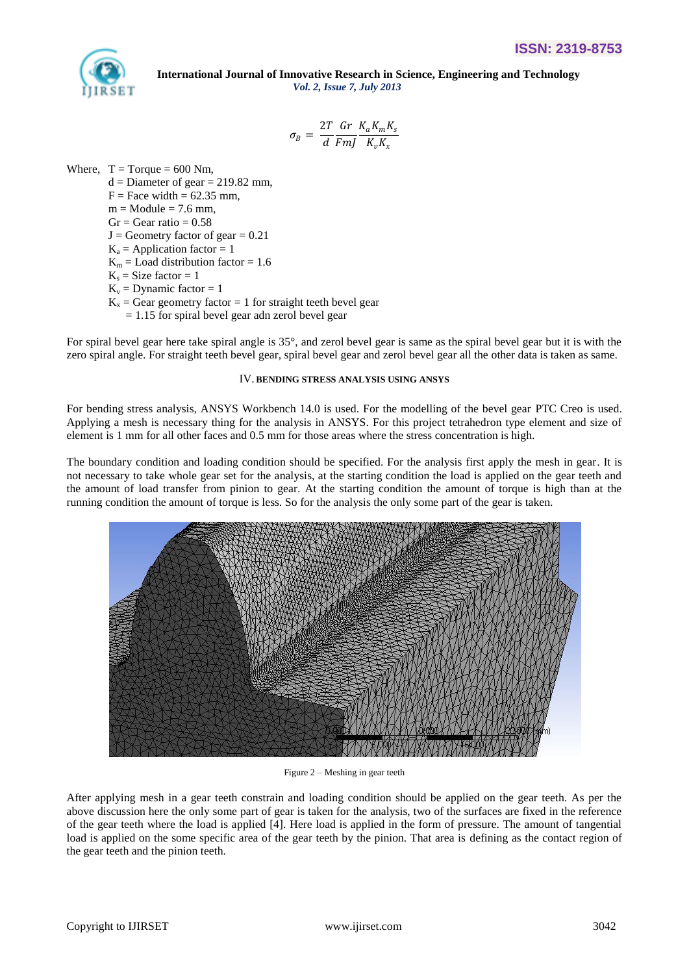

$$
\sigma_B = \frac{2T}{d} \frac{Gr}{FmJ} \frac{K_a K_m K_s}{K_v K_x}
$$

Where,  $T = Torque = 600 Nm$ ,

 $d =$ Diameter of gear = 219.82 mm,  $F = Face width = 62.35 mm$ ,  $m = Module = 7.6$  mm,  $Gr = Gear ratio = 0.58$  $J =$  Geometry factor of gear = 0.21  $K_a$  = Application factor = 1  $K_m =$  Load distribution factor = 1.6  $K_s = Size factor = 1$  $K_v =$  Dynamic factor = 1

 $K<sub>x</sub>$  = Gear geometry factor = 1 for straight teeth bevel gear

 $= 1.15$  for spiral bevel gear adn zerol bevel gear

For spiral bevel gear here take spiral angle is 35°, and zerol bevel gear is same as the spiral bevel gear but it is with the zero spiral angle. For straight teeth bevel gear, spiral bevel gear and zerol bevel gear all the other data is taken as same.

## IV. **BENDING STRESS ANALYSIS USING ANSYS**

For bending stress analysis, ANSYS Workbench 14.0 is used. For the modelling of the bevel gear PTC Creo is used. Applying a mesh is necessary thing for the analysis in ANSYS. For this project tetrahedron type element and size of element is 1 mm for all other faces and 0.5 mm for those areas where the stress concentration is high.

The boundary condition and loading condition should be specified. For the analysis first apply the mesh in gear. It is not necessary to take whole gear set for the analysis, at the starting condition the load is applied on the gear teeth and the amount of load transfer from pinion to gear. At the starting condition the amount of torque is high than at the running condition the amount of torque is less. So for the analysis the only some part of the gear is taken.



Figure 2 – Meshing in gear teeth

After applying mesh in a gear teeth constrain and loading condition should be applied on the gear teeth. As per the above discussion here the only some part of gear is taken for the analysis, two of the surfaces are fixed in the reference of the gear teeth where the load is applied [4]. Here load is applied in the form of pressure. The amount of tangential load is applied on the some specific area of the gear teeth by the pinion. That area is defining as the contact region of the gear teeth and the pinion teeth.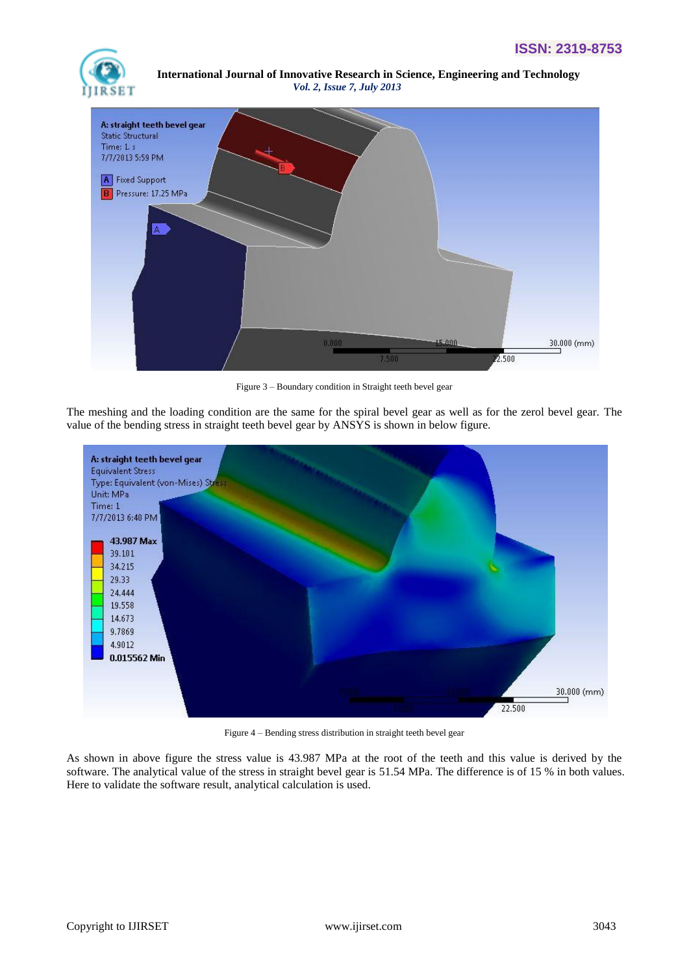



Figure 3 – Boundary condition in Straight teeth bevel gear

The meshing and the loading condition are the same for the spiral bevel gear as well as for the zerol bevel gear. The value of the bending stress in straight teeth bevel gear by ANSYS is shown in below figure.



Figure 4 – Bending stress distribution in straight teeth bevel gear

As shown in above figure the stress value is 43.987 MPa at the root of the teeth and this value is derived by the software. The analytical value of the stress in straight bevel gear is 51.54 MPa. The difference is of 15 % in both values. Here to validate the software result, analytical calculation is used.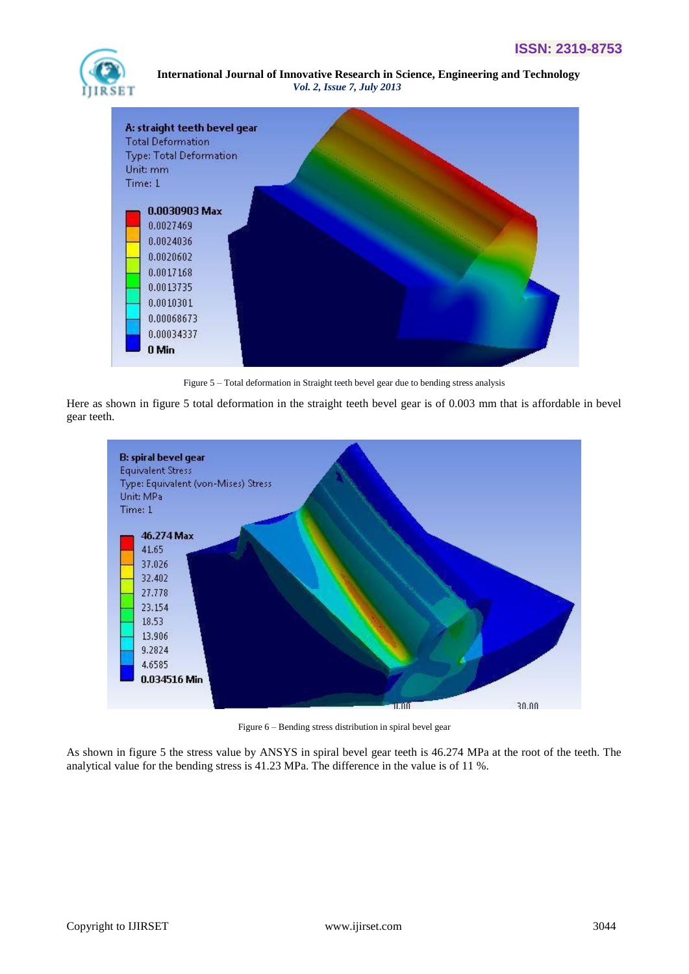



Figure 5 – Total deformation in Straight teeth bevel gear due to bending stress analysis

Here as shown in figure 5 total deformation in the straight teeth bevel gear is of 0.003 mm that is affordable in bevel gear teeth.



Figure 6 – Bending stress distribution in spiral bevel gear

As shown in figure 5 the stress value by ANSYS in spiral bevel gear teeth is 46.274 MPa at the root of the teeth. The analytical value for the bending stress is 41.23 MPa. The difference in the value is of 11 %.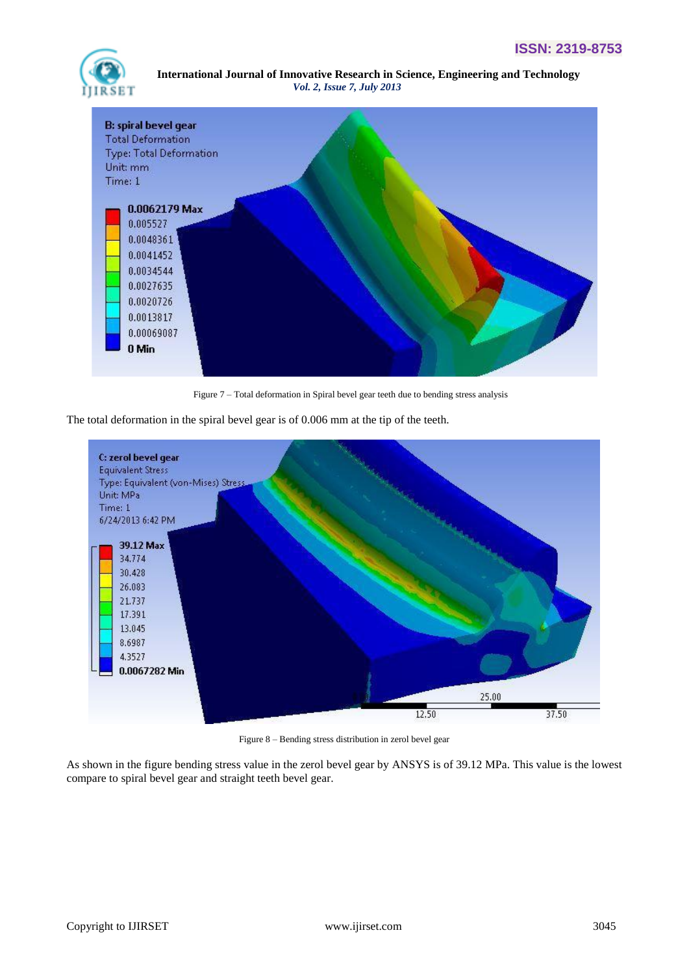



Figure 7 – Total deformation in Spiral bevel gear teeth due to bending stress analysis

The total deformation in the spiral bevel gear is of 0.006 mm at the tip of the teeth.



Figure 8 – Bending stress distribution in zerol bevel gear

As shown in the figure bending stress value in the zerol bevel gear by ANSYS is of 39.12 MPa. This value is the lowest compare to spiral bevel gear and straight teeth bevel gear.